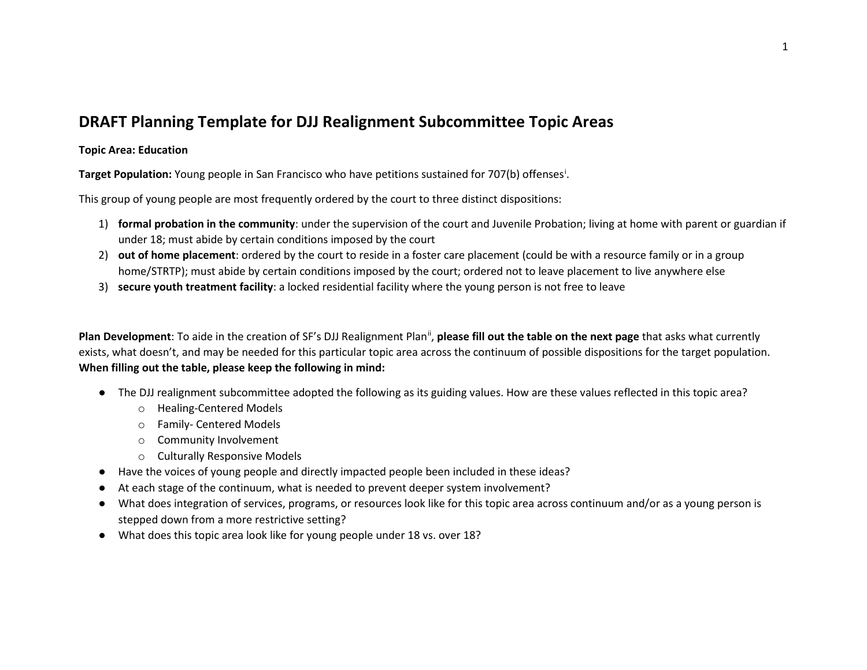## **DRAFT Planning Template for DJJ Realignment Subcommittee Topic Areas**

## **Topic Area: Education**

**Target Population:** Young people in San Francisco who have petitions sustained for 707(b) offenses[i](#page-6-0) .

This group of young people are most frequently ordered by the court to three distinct dispositions:

- 1) **formal probation in the community**: under the supervision of the court and Juvenile Probation; living at home with parent or guardian if under 18; must abide by certain conditions imposed by the court
- 2) **out of home placement**: ordered by the court to reside in a foster care placement (could be with a resource family or in a group home/STRTP); must abide by certain conditions imposed by the court; ordered not to leave placement to live anywhere else
- 3) **secure youth treatment facility**: a locked residential facility where the young person is not free to leave

Plan Development: To aide in the creation of SF's DJJ Realignment Plan<sup>[ii](#page-7-0)</sup>, please fill out the table on the next page that asks what currently exists, what doesn't, and may be needed for this particular topic area across the continuum of possible dispositions for the target population. **When filling out the table, please keep the following in mind:**

- The DJJ realignment subcommittee adopted the following as its guiding values. How are these values reflected in this topic area?
	- o Healing-Centered Models
	- o Family- Centered Models
	- o Community Involvement
	- o Culturally Responsive Models
- Have the voices of young people and directly impacted people been included in these ideas?
- At each stage of the continuum, what is needed to prevent deeper system involvement?
- What does integration of services, programs, or resources look like for this topic area across continuum and/or as a young person is stepped down from a more restrictive setting?
- What does this topic area look like for young people under 18 vs. over 18?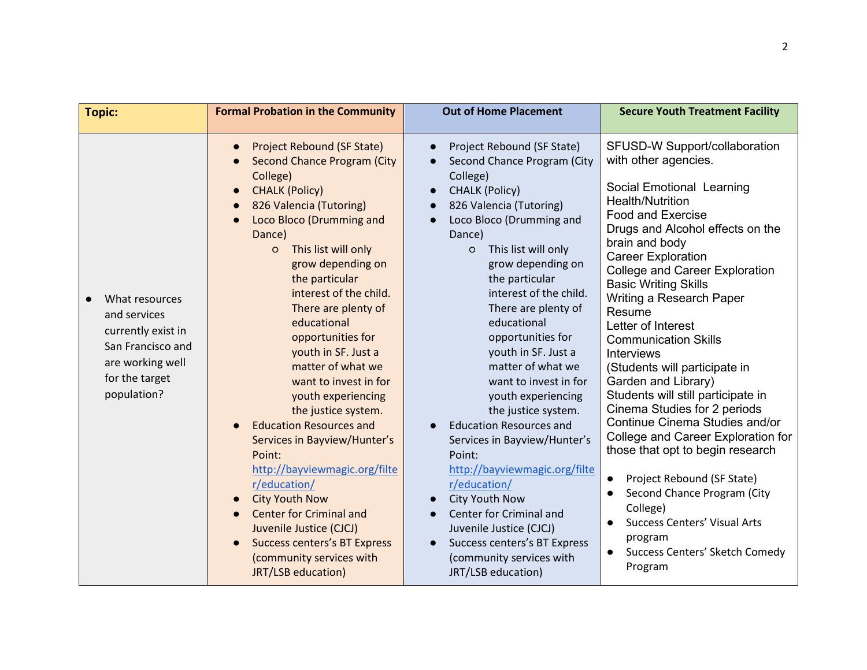| <b>Topic:</b>                                                                                                                  | <b>Formal Probation in the Community</b>                                                                                                                                                                                                                                                                                                                                                                                                                                                                                                                                                                                                                                                                                                                           | <b>Out of Home Placement</b>                                                                                                                                                                                                                                                                                                                                                                                                                                                                                                                                                                                                                                                                                                                                     | <b>Secure Youth Treatment Facility</b>                                                                                                                                                                                                                                                                                                                                                                                                                                                                                                                                                                                                                                                                                                                                                                                          |
|--------------------------------------------------------------------------------------------------------------------------------|--------------------------------------------------------------------------------------------------------------------------------------------------------------------------------------------------------------------------------------------------------------------------------------------------------------------------------------------------------------------------------------------------------------------------------------------------------------------------------------------------------------------------------------------------------------------------------------------------------------------------------------------------------------------------------------------------------------------------------------------------------------------|------------------------------------------------------------------------------------------------------------------------------------------------------------------------------------------------------------------------------------------------------------------------------------------------------------------------------------------------------------------------------------------------------------------------------------------------------------------------------------------------------------------------------------------------------------------------------------------------------------------------------------------------------------------------------------------------------------------------------------------------------------------|---------------------------------------------------------------------------------------------------------------------------------------------------------------------------------------------------------------------------------------------------------------------------------------------------------------------------------------------------------------------------------------------------------------------------------------------------------------------------------------------------------------------------------------------------------------------------------------------------------------------------------------------------------------------------------------------------------------------------------------------------------------------------------------------------------------------------------|
| What resources<br>and services<br>currently exist in<br>San Francisco and<br>are working well<br>for the target<br>population? | Project Rebound (SF State)<br><b>Second Chance Program (City</b><br>College)<br><b>CHALK (Policy)</b><br>826 Valencia (Tutoring)<br>Loco Bloco (Drumming and<br>Dance)<br>This list will only<br>$\circ$<br>grow depending on<br>the particular<br>interest of the child.<br>There are plenty of<br>educational<br>opportunities for<br>youth in SF. Just a<br>matter of what we<br>want to invest in for<br>youth experiencing<br>the justice system.<br><b>Education Resources and</b><br>Services in Bayview/Hunter's<br>Point:<br>http://bayviewmagic.org/filte<br>r/education/<br><b>City Youth Now</b><br><b>Center for Criminal and</b><br>Juvenile Justice (CJCJ)<br><b>Success centers's BT Express</b><br>(community services with<br>JRT/LSB education) | Project Rebound (SF State)<br>$\bullet$<br>Second Chance Program (City<br>College)<br><b>CHALK (Policy)</b><br>826 Valencia (Tutoring)<br>Loco Bloco (Drumming and<br>Dance)<br>This list will only<br>$\circ$<br>grow depending on<br>the particular<br>interest of the child.<br>There are plenty of<br>educational<br>opportunities for<br>youth in SF. Just a<br>matter of what we<br>want to invest in for<br>youth experiencing<br>the justice system.<br><b>Education Resources and</b><br>Services in Bayview/Hunter's<br>Point:<br>http://bayviewmagic.org/filte<br>r/education/<br>City Youth Now<br>$\bullet$<br>Center for Criminal and<br>Juvenile Justice (CJCJ)<br>Success centers's BT Express<br>(community services with<br>JRT/LSB education) | SFUSD-W Support/collaboration<br>with other agencies.<br>Social Emotional Learning<br>Health/Nutrition<br><b>Food and Exercise</b><br>Drugs and Alcohol effects on the<br>brain and body<br><b>Career Exploration</b><br><b>College and Career Exploration</b><br><b>Basic Writing Skills</b><br>Writing a Research Paper<br>Resume<br>Letter of Interest<br><b>Communication Skills</b><br><b>Interviews</b><br>(Students will participate in<br>Garden and Library)<br>Students will still participate in<br>Cinema Studies for 2 periods<br>Continue Cinema Studies and/or<br>College and Career Exploration for<br>those that opt to begin research<br>Project Rebound (SF State)<br>Second Chance Program (City<br>College)<br><b>Success Centers' Visual Arts</b><br>program<br>Success Centers' Sketch Comedy<br>Program |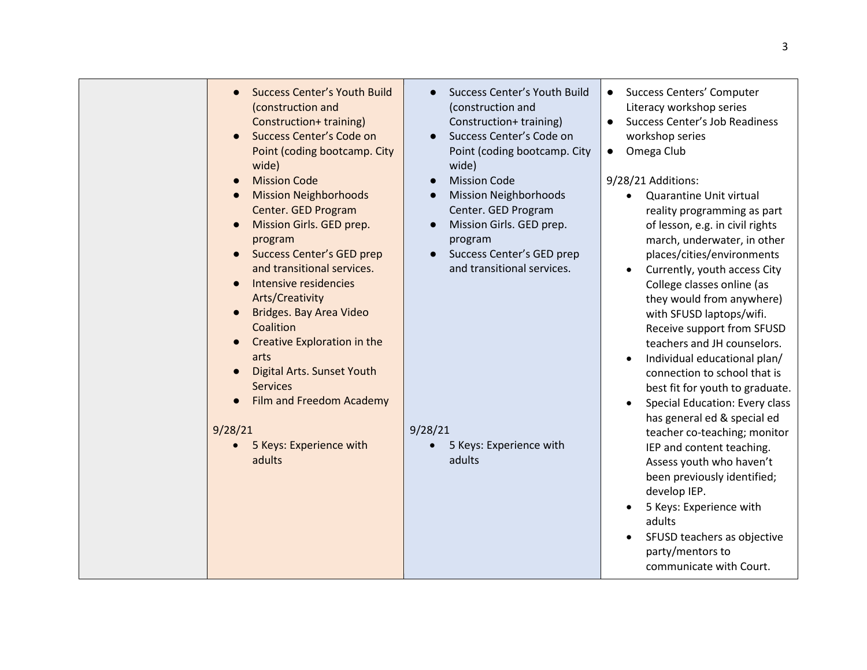| <b>Success Center's Youth Build</b><br>(construction and<br>Construction+ training)<br>Success Center's Code on<br>Point (coding bootcamp. City<br>wide)<br><b>Mission Code</b><br><b>Mission Neighborhoods</b><br>Center. GED Program<br>Mission Girls. GED prep.<br>program<br><b>Success Center's GED prep</b><br>and transitional services.<br>Intensive residencies | Success Center's Youth Build<br>(construction and<br>Construction+ training)<br>Success Center's Code on<br>Point (coding bootcamp. City<br>wide)<br><b>Mission Code</b><br>$\bullet$<br><b>Mission Neighborhoods</b><br>$\bullet$<br>Center. GED Program<br>Mission Girls. GED prep.<br>$\bullet$<br>program<br>Success Center's GED prep<br>$\bullet$<br>and transitional services. | <b>Success Centers' Computer</b><br>Literacy workshop series<br>Success Center's Job Readiness<br>$\bullet$<br>workshop series<br>Omega Club<br>$\bullet$<br>9/28/21 Additions:<br>Quarantine Unit virtual<br>reality programming as part<br>of lesson, e.g. in civil rights<br>march, underwater, in other<br>places/cities/environments<br>Currently, youth access City                                                                                                                                                                                                       |
|--------------------------------------------------------------------------------------------------------------------------------------------------------------------------------------------------------------------------------------------------------------------------------------------------------------------------------------------------------------------------|---------------------------------------------------------------------------------------------------------------------------------------------------------------------------------------------------------------------------------------------------------------------------------------------------------------------------------------------------------------------------------------|---------------------------------------------------------------------------------------------------------------------------------------------------------------------------------------------------------------------------------------------------------------------------------------------------------------------------------------------------------------------------------------------------------------------------------------------------------------------------------------------------------------------------------------------------------------------------------|
| Arts/Creativity<br>Bridges. Bay Area Video<br>Coalition<br>Creative Exploration in the<br>arts<br><b>Digital Arts. Sunset Youth</b><br><b>Services</b><br>Film and Freedom Academy<br>9/28/21<br>5 Keys: Experience with<br>adults                                                                                                                                       | 9/28/21<br>5 Keys: Experience with<br>adults                                                                                                                                                                                                                                                                                                                                          | College classes online (as<br>they would from anywhere)<br>with SFUSD laptops/wifi.<br>Receive support from SFUSD<br>teachers and JH counselors.<br>Individual educational plan/<br>connection to school that is<br>best fit for youth to graduate.<br>Special Education: Every class<br>has general ed & special ed<br>teacher co-teaching; monitor<br>IEP and content teaching.<br>Assess youth who haven't<br>been previously identified;<br>develop IEP.<br>5 Keys: Experience with<br>adults<br>SFUSD teachers as objective<br>party/mentors to<br>communicate with Court. |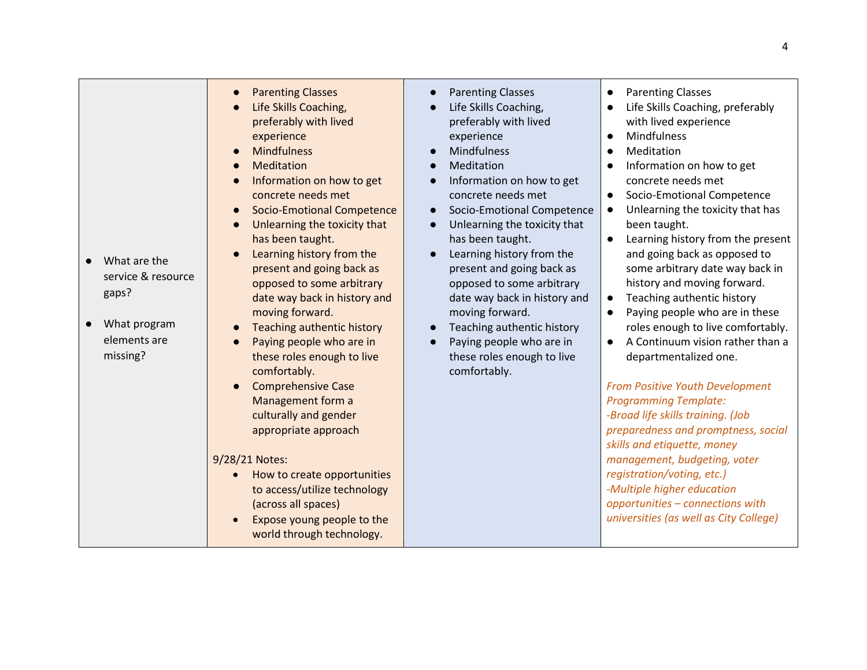| $\bullet$ | What are the<br>service & resource |
|-----------|------------------------------------|

● What program elements are missing?

gaps?

- **Parenting Classes**
- **Life Skills Coaching,** preferably with lived experience
- **Mindfulness**
- **Meditation**
- Information on how to get concrete needs met
- **Socio-Emotional Competence**
- Unlearning the toxicity that has been taught.
- Learning history from the present and going back as opposed to some arbitrary date way back in history and moving forward.
- **Teaching authentic history**
- Paying people who are in these roles enough to live comfortably.
- **Comprehensive Case** Management form a culturally and gender appropriate approach

## 9/28/21 Notes:

- How to create opportunities to access/utilize technology (across all spaces)
- Expose young people to the world through technology.
- **Parenting Classes**
- Life Skills Coaching. preferably with lived experience
- **Mindfulness**
- Meditation
- Information on how to get concrete needs met
- Socio-Emotional Competence
- Unlearning the toxicity that has been taught.
- Learning history from the present and going back as opposed to some arbitrary date way back in history and moving forward.
- Teaching authentic history
- Paying people who are in these roles enough to live comfortably.
- Parenting Classes
- Life Skills Coaching, preferably with lived experience
- Mindfulness
- Meditation
- Information on how to get concrete needs met
- Socio-Emotional Competence
- Unlearning the toxicity that has been taught.
- Learning history from the present and going back as opposed to some arbitrary date way back in history and moving forward.
- Teaching authentic history
- Paying people who are in these roles enough to live comfortably.
- A Continuum vision rather than a departmentalized one.

*From Positive Youth Development Programming Template: -Broad life skills training. (Job preparedness and promptness, social skills and etiquette, money management, budgeting, voter registration/voting, etc.) -Multiple higher education opportunities – connections with universities (as well as City College)*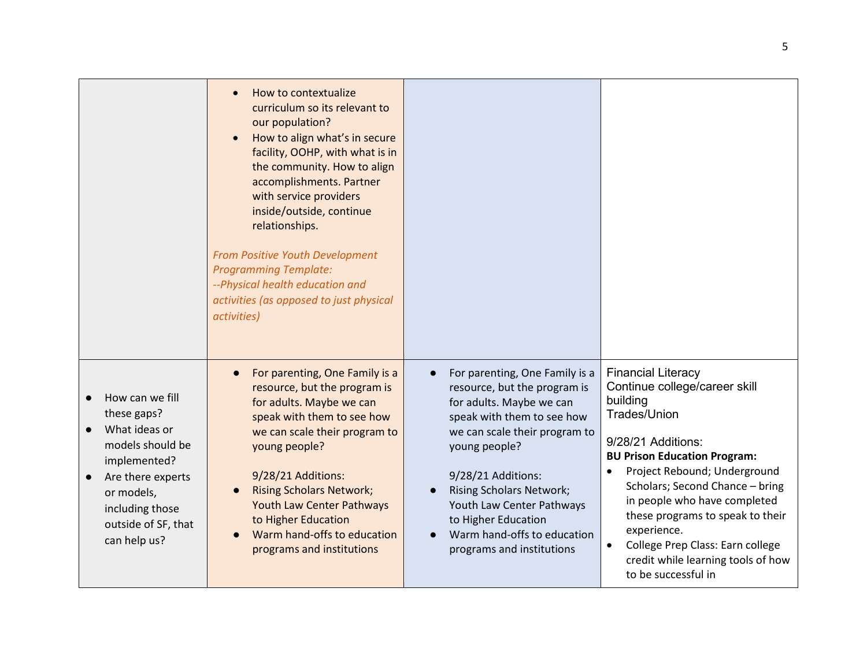|                                                                                                                                                                                  | How to contextualize<br>$\bullet$<br>curriculum so its relevant to<br>our population?<br>How to align what's in secure<br>facility, OOHP, with what is in<br>the community. How to align<br>accomplishments. Partner<br>with service providers<br>inside/outside, continue<br>relationships.<br>From Positive Youth Development<br><b>Programming Template:</b><br>--Physical health education and<br>activities (as opposed to just physical<br>activities) |                                                                                                                                                                                                                                                                                                                                                                  |                                                                                                                                                                                                                                                                                                                                                                                                                   |
|----------------------------------------------------------------------------------------------------------------------------------------------------------------------------------|--------------------------------------------------------------------------------------------------------------------------------------------------------------------------------------------------------------------------------------------------------------------------------------------------------------------------------------------------------------------------------------------------------------------------------------------------------------|------------------------------------------------------------------------------------------------------------------------------------------------------------------------------------------------------------------------------------------------------------------------------------------------------------------------------------------------------------------|-------------------------------------------------------------------------------------------------------------------------------------------------------------------------------------------------------------------------------------------------------------------------------------------------------------------------------------------------------------------------------------------------------------------|
| How can we fill<br>these gaps?<br>What ideas or<br>models should be<br>implemented?<br>Are there experts<br>or models,<br>including those<br>outside of SF, that<br>can help us? | For parenting, One Family is a<br>$\bullet$<br>resource, but the program is<br>for adults. Maybe we can<br>speak with them to see how<br>we can scale their program to<br>young people?<br>9/28/21 Additions:<br><b>Rising Scholars Network;</b><br><b>Youth Law Center Pathways</b><br>to Higher Education<br>Warm hand-offs to education<br>programs and institutions                                                                                      | For parenting, One Family is a<br>$\bullet$<br>resource, but the program is<br>for adults. Maybe we can<br>speak with them to see how<br>we can scale their program to<br>young people?<br>9/28/21 Additions:<br><b>Rising Scholars Network;</b><br>Youth Law Center Pathways<br>to Higher Education<br>Warm hand-offs to education<br>programs and institutions | <b>Financial Literacy</b><br>Continue college/career skill<br>building<br><b>Trades/Union</b><br>9/28/21 Additions:<br><b>BU Prison Education Program:</b><br>Project Rebound; Underground<br>Scholars; Second Chance - bring<br>in people who have completed<br>these programs to speak to their<br>experience.<br>College Prep Class: Earn college<br>credit while learning tools of how<br>to be successful in |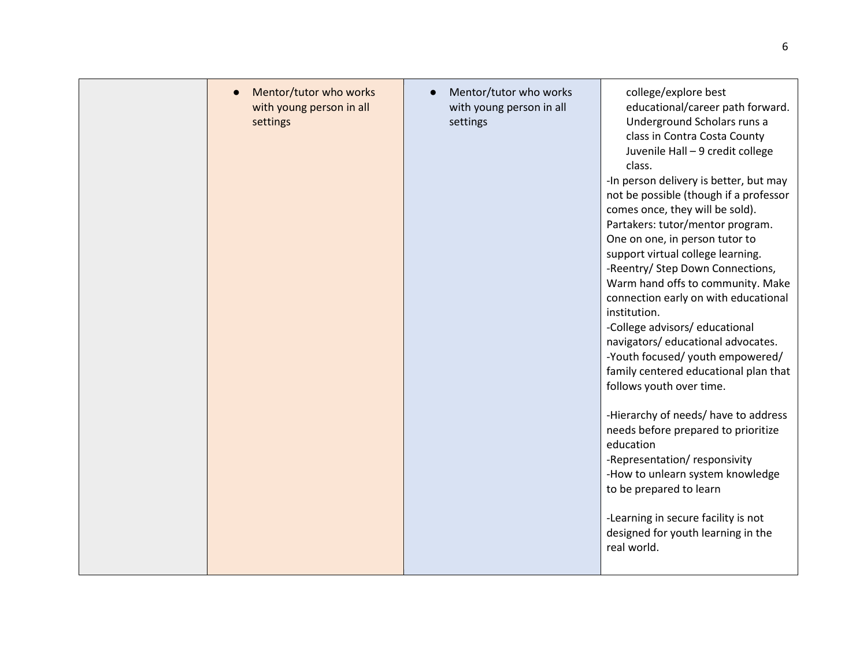| Mentor/tutor who works<br>with young person in all<br>settings | Mentor/tutor who works<br>with young person in all<br>settings | college/explore best<br>educational/career path forward.<br>Underground Scholars runs a<br>class in Contra Costa County<br>Juvenile Hall - 9 credit college<br>class.<br>-In person delivery is better, but may<br>not be possible (though if a professor<br>comes once, they will be sold).<br>Partakers: tutor/mentor program.<br>One on one, in person tutor to<br>support virtual college learning.<br>-Reentry/ Step Down Connections,<br>Warm hand offs to community. Make<br>connection early on with educational<br>institution.<br>-College advisors/ educational<br>navigators/educational advocates.<br>-Youth focused/ youth empowered/<br>family centered educational plan that<br>follows youth over time.<br>-Hierarchy of needs/ have to address<br>needs before prepared to prioritize<br>education<br>-Representation/responsivity<br>-How to unlearn system knowledge<br>to be prepared to learn<br>-Learning in secure facility is not<br>designed for youth learning in the<br>real world. |
|----------------------------------------------------------------|----------------------------------------------------------------|-----------------------------------------------------------------------------------------------------------------------------------------------------------------------------------------------------------------------------------------------------------------------------------------------------------------------------------------------------------------------------------------------------------------------------------------------------------------------------------------------------------------------------------------------------------------------------------------------------------------------------------------------------------------------------------------------------------------------------------------------------------------------------------------------------------------------------------------------------------------------------------------------------------------------------------------------------------------------------------------------------------------|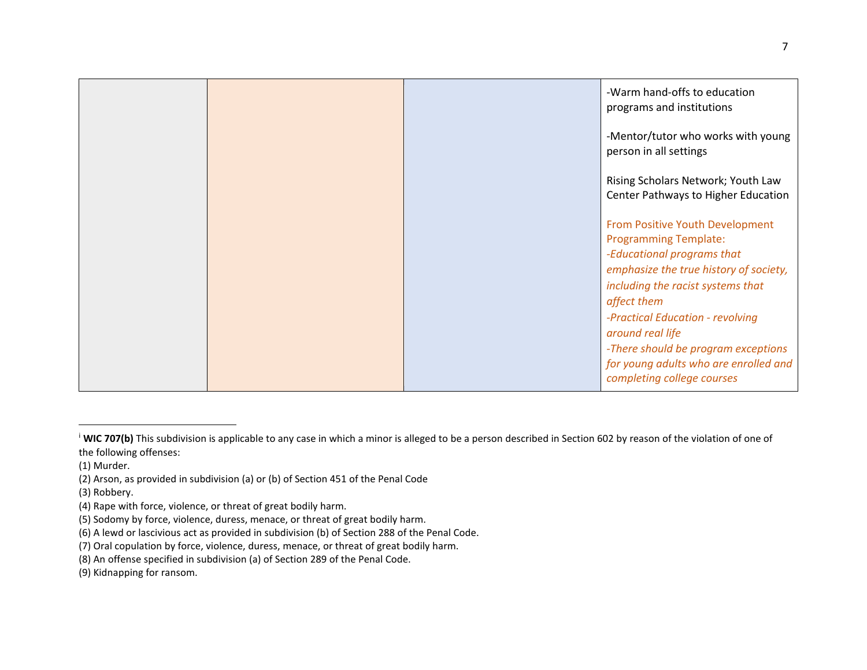<span id="page-6-0"></span>

|  | -Warm hand-offs to education<br>programs and institutions                                                                                                                         |
|--|-----------------------------------------------------------------------------------------------------------------------------------------------------------------------------------|
|  | -Mentor/tutor who works with young<br>person in all settings                                                                                                                      |
|  | Rising Scholars Network; Youth Law<br>Center Pathways to Higher Education                                                                                                         |
|  | From Positive Youth Development<br><b>Programming Template:</b><br>-Educational programs that<br>emphasize the true history of society,<br>including the racist systems that      |
|  | affect them<br>-Practical Education - revolving<br>around real life<br>-There should be program exceptions<br>for young adults who are enrolled and<br>completing college courses |

(3) Robbery.

<sup>&</sup>lt;sup>i</sup> WIC 707(b) This subdivision is applicable to any case in which a minor is alleged to be a person described in Section 602 by reason of the violation of one of the following offenses:

<sup>(1)</sup> Murder.

<sup>(2)</sup> Arson, as provided in subdivision (a) or (b) of Section 451 of the Penal Code

<sup>(4)</sup> Rape with force, violence, or threat of great bodily harm.

<sup>(5)</sup> Sodomy by force, violence, duress, menace, or threat of great bodily harm.

<sup>(6)</sup> A lewd or lascivious act as provided in subdivision (b) of Section 288 of the Penal Code.

<sup>(7)</sup> Oral copulation by force, violence, duress, menace, or threat of great bodily harm.

<sup>(8)</sup> An offense specified in subdivision (a) of Section 289 of the Penal Code.

<sup>(9)</sup> Kidnapping for ransom.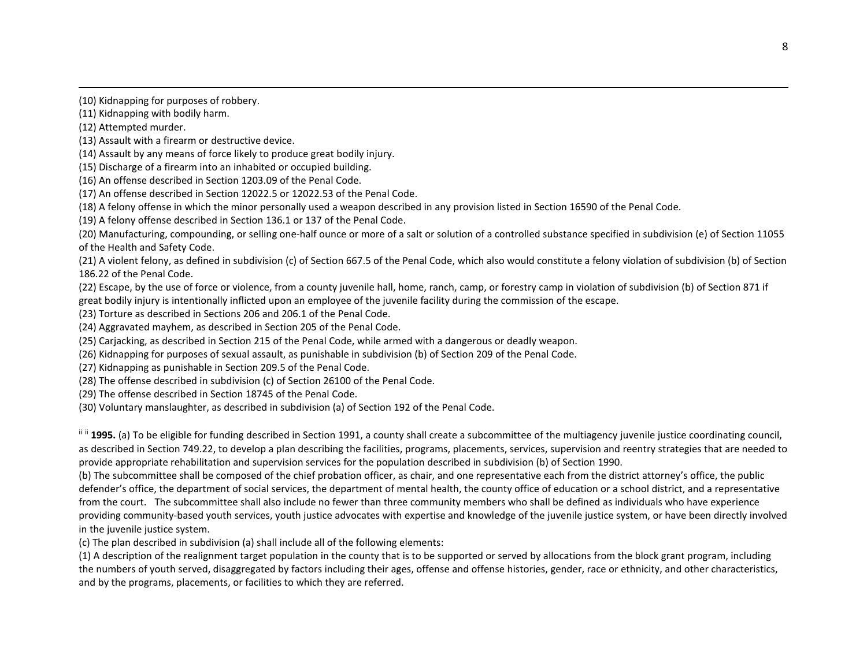<span id="page-7-0"></span>(10) Kidnapping for purposes of robbery.

(11) Kidnapping with bodily harm.

(12) Attempted murder.

(13) Assault with a firearm or destructive device.

(14) Assault by any means of force likely to produce great bodily injury.

(15) Discharge of a firearm into an inhabited or occupied building.

(16) An offense described in Section 1203.09 of the Penal Code.

(17) An offense described in Section 12022.5 or 12022.53 of the Penal Code.

(18) A felony offense in which the minor personally used a weapon described in any provision listed in Section 16590 of the Penal Code.

(19) A felony offense described in Section 136.1 or 137 of the Penal Code.

(20) Manufacturing, compounding, or selling one-half ounce or more of a salt or solution of a controlled substance specified in subdivision (e) of Section 11055 of the Health and Safety Code.

(21) A violent felony, as defined in subdivision (c) of Section 667.5 of the Penal Code, which also would constitute a felony violation of subdivision (b) of Section 186.22 of the Penal Code.

(22) Escape, by the use of force or violence, from a county juvenile hall, home, ranch, camp, or forestry camp in violation of subdivision (b) of Section 871 if great bodily injury is intentionally inflicted upon an employee of the juvenile facility during the commission of the escape.

(23) Torture as described in Sections 206 and 206.1 of the Penal Code.

(24) Aggravated mayhem, as described in Section 205 of the Penal Code.

(25) Carjacking, as described in Section 215 of the Penal Code, while armed with a dangerous or deadly weapon.

(26) Kidnapping for purposes of sexual assault, as punishable in subdivision (b) of Section 209 of the Penal Code.

(27) Kidnapping as punishable in Section 209.5 of the Penal Code.

(28) The offense described in subdivision (c) of Section 26100 of the Penal Code.

(29) The offense described in Section 18745 of the Penal Code.

(30) Voluntary manslaughter, as described in subdivision (a) of Section 192 of the Penal Code.

iii 1995. (a) To be eligible for funding described in Section 1991, a county shall create a subcommittee of the multiagency juvenile justice coordinating council, as described in Section 749.22, to develop a plan describing the facilities, programs, placements, services, supervision and reentry strategies that are needed to provide appropriate rehabilitation and supervision services for the population described in subdivision (b) of Section 1990.

(b) The subcommittee shall be composed of the chief probation officer, as chair, and one representative each from the district attorney's office, the public defender's office, the department of social services, the department of mental health, the county office of education or a school district, and a representative from the court. The subcommittee shall also include no fewer than three community members who shall be defined as individuals who have experience providing community-based youth services, youth justice advocates with expertise and knowledge of the juvenile justice system, or have been directly involved in the juvenile justice system.

(c) The plan described in subdivision (a) shall include all of the following elements:

(1) A description of the realignment target population in the county that is to be supported or served by allocations from the block grant program, including the numbers of youth served, disaggregated by factors including their ages, offense and offense histories, gender, race or ethnicity, and other characteristics, and by the programs, placements, or facilities to which they are referred.